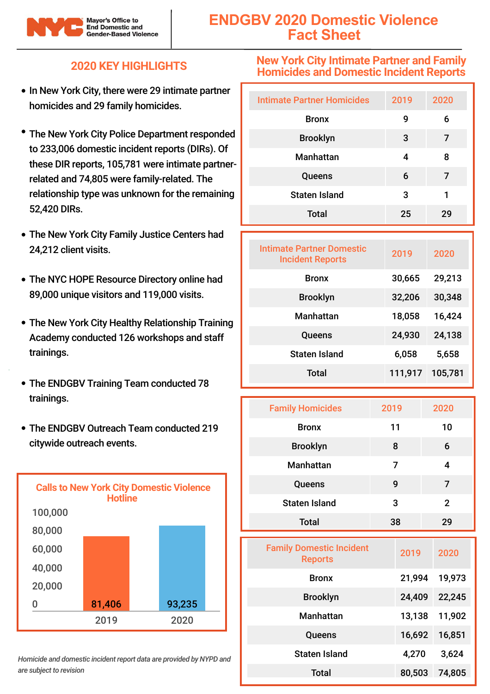

# **ENDGBV 2020 Domestic Violence Fact Sheet**

### **2020 KEY HIGHLIGHTS**

- In New York City, there were 29 intimate partner homicides and 29 family homicides.
- The New York City Police Department responded to 233,006 domestic incident reports (DIRs). Of these DIR reports, 105,781 were intimate partnerrelated and 74,805 were family-related. The relationship type was unknown for the remaining 52,420 DIRs.
- The New York City Family Justice Centers had 24,212 client visits.
- The NYC HOPE Resource Directory online had 89,000 unique visitors and 119,000 visits.
- The New York City Healthy Relationship Training Academy conducted 126 workshops and staff trainings.
- The ENDGBV Training Team conducted 78 trainings.
- The ENDGBV Outreach Team conducted 219 citywide outreach events.



*Homicide and domestic incident report data are provided by NYPD and are subject to revision*

#### **New York City Intimate Partner and Family Homicides and Domestic Incident Reports**

| <b>Intimate Partner Homicides</b> | 2019 | 2020 |
|-----------------------------------|------|------|
| <b>Bronx</b>                      | 9    | 6    |
| <b>Brooklyn</b>                   | 3    | 7    |
| <b>Manhattan</b>                  | 4    | 8    |
| Queens                            | 6    | 7    |
| <b>Staten Island</b>              | 3    | 1    |
| <b>Total</b>                      | 25   | 29   |

| Intimate Partner Domestic<br><b>Incident Reports</b> | 2019    | 2020    |
|------------------------------------------------------|---------|---------|
| <b>Bronx</b>                                         | 30,665  | 29,213  |
| <b>Brooklyn</b>                                      | 32,206  | 30,348  |
| <b>Manhattan</b>                                     | 18,058  | 16,424  |
| Queens                                               | 24,930  | 24,138  |
| <b>Staten Island</b>                                 | 6,058   | 5,658   |
| Total                                                | 111,917 | 105,781 |

| <b>Family Homicides</b> | 2019 | 2020         |
|-------------------------|------|--------------|
| <b>Bronx</b>            | 11   | 10           |
| <b>Brooklyn</b>         | 8    | 6            |
| <b>Manhattan</b>        | 7    | 4            |
| Queens                  | 9    | 7            |
| <b>Staten Island</b>    | 3    | $\mathbf{2}$ |
| <b>Total</b>            | 38   | 29           |

| <b>Family Domestic Incident</b><br><b>Reports</b> | 2019   | 2020   |
|---------------------------------------------------|--------|--------|
| <b>Bronx</b>                                      | 21,994 | 19,973 |
| <b>Brooklyn</b>                                   | 24,409 | 22,245 |
| <b>Manhattan</b>                                  | 13,138 | 11,902 |
| Queens                                            | 16,692 | 16,851 |
| <b>Staten Island</b>                              | 4,270  | 3,624  |
| Total                                             | 80,503 | 74,805 |